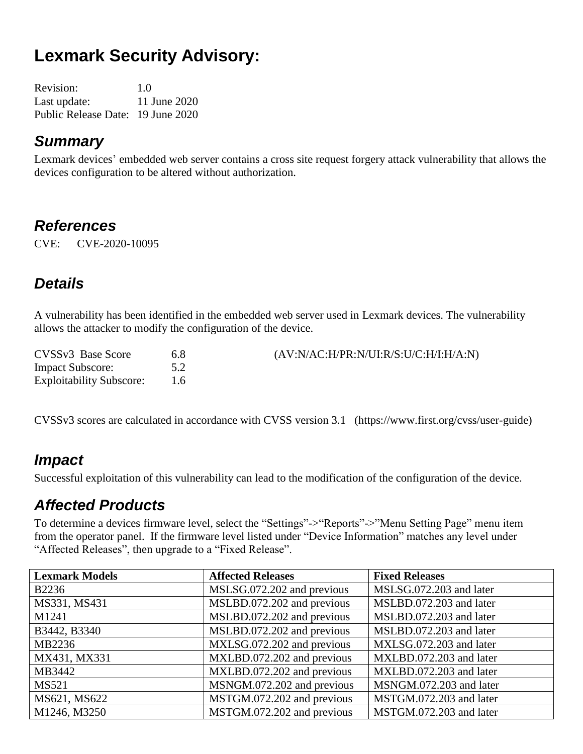# **Lexmark Security Advisory:**

| Revision:                         | 1.0          |
|-----------------------------------|--------------|
| Last update:                      | 11 June 2020 |
| Public Release Date: 19 June 2020 |              |

#### *Summary*

Lexmark devices' embedded web server contains a cross site request forgery attack vulnerability that allows the devices configuration to be altered without authorization.

#### *References*

CVE: CVE-2020-10095

### *Details*

A vulnerability has been identified in the embedded web server used in Lexmark devices. The vulnerability allows the attacker to modify the configuration of the device.

| CVSSv3 Base Score               | 6.8 | (AV:N/AC:H/PR:N/UI:R/S:U/C:H/I:H/A:N) |
|---------------------------------|-----|---------------------------------------|
| <b>Impact Subscore:</b>         | 5.2 |                                       |
| <b>Exploitability Subscore:</b> |     |                                       |

CVSSv3 scores are calculated in accordance with CVSS version 3.1 (https://www.first.org/cvss/user-guide)

#### *Impact*

Successful exploitation of this vulnerability can lead to the modification of the configuration of the device.

#### *Affected Products*

To determine a devices firmware level, select the "Settings"->"Reports"->"Menu Setting Page" menu item from the operator panel. If the firmware level listed under "Device Information" matches any level under "Affected Releases", then upgrade to a "Fixed Release".

| <b>Lexmark Models</b> | <b>Affected Releases</b>   | <b>Fixed Releases</b>   |
|-----------------------|----------------------------|-------------------------|
| <b>B2236</b>          | MSLSG.072.202 and previous | MSLSG.072.203 and later |
| MS331, MS431          | MSLBD.072.202 and previous | MSLBD.072.203 and later |
| M1241                 | MSLBD.072.202 and previous | MSLBD.072.203 and later |
| B3442, B3340          | MSLBD.072.202 and previous | MSLBD.072.203 and later |
| MB2236                | MXLSG.072.202 and previous | MXLSG.072.203 and later |
| MX431, MX331          | MXLBD.072.202 and previous | MXLBD.072.203 and later |
| MB3442                | MXLBD.072.202 and previous | MXLBD.072.203 and later |
| <b>MS521</b>          | MSNGM.072.202 and previous | MSNGM.072.203 and later |
| MS621, MS622          | MSTGM.072.202 and previous | MSTGM.072.203 and later |
| M1246, M3250          | MSTGM.072.202 and previous | MSTGM.072.203 and later |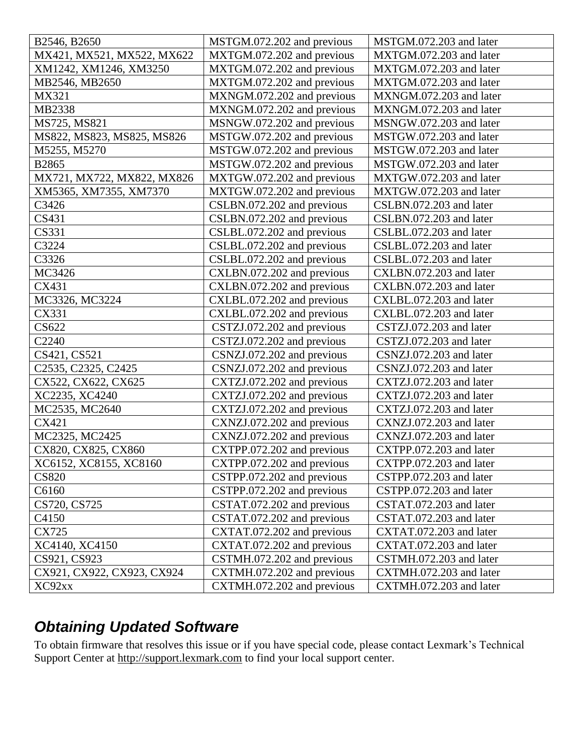| B2546, B2650                                              | MSTGM.072.202 and previous | MSTGM.072.203 and later |
|-----------------------------------------------------------|----------------------------|-------------------------|
| MX421, MX521, MX522, MX622                                | MXTGM.072.202 and previous | MXTGM.072.203 and later |
| XM1242, XM1246, XM3250                                    | MXTGM.072.202 and previous | MXTGM.072.203 and later |
| MB2546, MB2650                                            | MXTGM.072.202 and previous | MXTGM.072.203 and later |
| MX321                                                     | MXNGM.072.202 and previous | MXNGM.072.203 and later |
| MB2338                                                    | MXNGM.072.202 and previous | MXNGM.072.203 and later |
| MS725, MS821                                              | MSNGW.072.202 and previous | MSNGW.072.203 and later |
| MS822, MS823, MS825, MS826                                | MSTGW.072.202 and previous | MSTGW.072.203 and later |
| M5255, M5270                                              | MSTGW.072.202 and previous | MSTGW.072.203 and later |
| B2865                                                     | MSTGW.072.202 and previous | MSTGW.072.203 and later |
| MX721, MX722, MX822, MX826                                | MXTGW.072.202 and previous | MXTGW.072.203 and later |
| XM5365, XM7355, XM7370                                    | MXTGW.072.202 and previous | MXTGW.072.203 and later |
| C3426                                                     | CSLBN.072.202 and previous | CSLBN.072.203 and later |
| CS431                                                     | CSLBN.072.202 and previous | CSLBN.072.203 and later |
| CS331                                                     | CSLBL.072.202 and previous | CSLBL.072.203 and later |
| C3224                                                     | CSLBL.072.202 and previous | CSLBL.072.203 and later |
| C3326                                                     | CSLBL.072.202 and previous | CSLBL.072.203 and later |
| MC3426                                                    | CXLBN.072.202 and previous | CXLBN.072.203 and later |
| CX431                                                     | CXLBN.072.202 and previous | CXLBN.072.203 and later |
| MC3326, MC3224                                            | CXLBL.072.202 and previous | CXLBL.072.203 and later |
| CX331                                                     | CXLBL.072.202 and previous | CXLBL.072.203 and later |
| CS622                                                     | CSTZJ.072.202 and previous | CSTZJ.072.203 and later |
| C2240                                                     | CSTZJ.072.202 and previous | CSTZJ.072.203 and later |
| CS421, CS521                                              | CSNZJ.072.202 and previous | CSNZJ.072.203 and later |
| C <sub>2535</sub> , C <sub>2325</sub> , C <sub>2425</sub> | CSNZJ.072.202 and previous | CSNZJ.072.203 and later |
| CX522, CX622, CX625                                       | CXTZJ.072.202 and previous | CXTZJ.072.203 and later |
| XC2235, XC4240                                            | CXTZJ.072.202 and previous | CXTZJ.072.203 and later |
| MC2535, MC2640                                            | CXTZJ.072.202 and previous | CXTZJ.072.203 and later |
| CX421                                                     | CXNZJ.072.202 and previous | CXNZJ.072.203 and later |
| MC2325, MC2425                                            | CXNZJ.072.202 and previous | CXNZJ.072.203 and later |
| CX820, CX825, CX860                                       | CXTPP.072.202 and previous | CXTPP.072.203 and later |
| XC6152, XC8155, XC8160                                    | CXTPP.072.202 and previous | CXTPP.072.203 and later |
| <b>CS820</b>                                              | CSTPP.072.202 and previous | CSTPP.072.203 and later |
| C6160                                                     | CSTPP.072.202 and previous | CSTPP.072.203 and later |
| CS720, CS725                                              | CSTAT.072.202 and previous | CSTAT.072.203 and later |
| C4150                                                     | CSTAT.072.202 and previous | CSTAT.072.203 and later |
| CX725                                                     | CXTAT.072.202 and previous | CXTAT.072.203 and later |
| XC4140, XC4150                                            | CXTAT.072.202 and previous | CXTAT.072.203 and later |
| CS921, CS923                                              | CSTMH.072.202 and previous | CSTMH.072.203 and later |
| CX921, CX922, CX923, CX924                                | CXTMH.072.202 and previous | CXTMH.072.203 and later |
| XC92xx                                                    | CXTMH.072.202 and previous | CXTMH.072.203 and later |

# *Obtaining Updated Software*

To obtain firmware that resolves this issue or if you have special code, please contact Lexmark's Technical Support Center at [http://support.lexmark.com](http://support.lexmark.com/) to find your local support center.